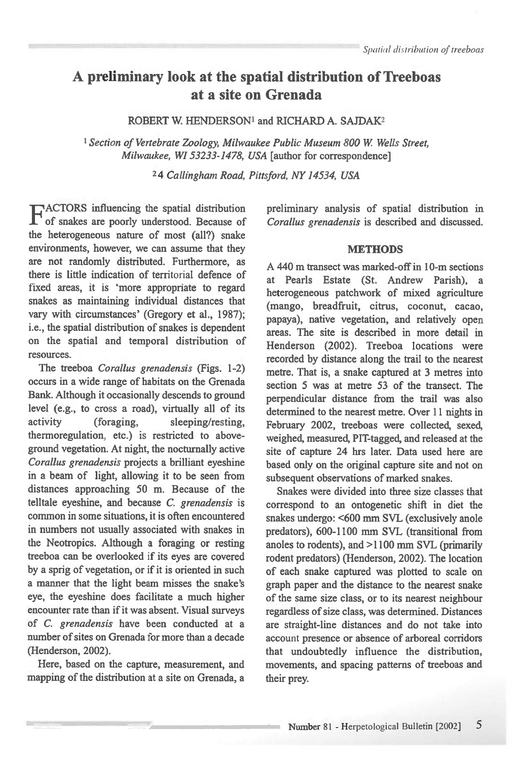# **A preliminary look at the spatial distribution of 'rreeboas at a site on Grenada**

ROBERT W. HENDERSON! and RICHARD A. SAJDAK2

*Section of Vertebrate Zoology, Milwaukee Public Museum 800 W. Wells Street, Milwaukee, WI 53233-1478, USA* [author for correspondence]

<sup>2</sup> 4 *Callingham Road, Pittsford, NY 14534, USA* 

**FACTORS** influencing the spatial distribution of snakes are poorly understood. Because of of snakes are poorly understood. Because of the heterogeneous nature of most (all?) snake environments, however, we can assume that they are not randomly distributed. Furthermore, as there is little indication of territorial defence of fixed areas, it is 'more appropriate to regard snakes as maintaining individual distances that vary with circumstances' (Gregory et al., 1987); i.e., the spatial distribution of snakes is dependent on the spatial and temporal distribution of resources.

The treeboa *Corallus grenadensis* (Figs. 1-2) occurs in a wide range of habitats on the Grenada Bank. Although it occasionally descends to ground level (e.g., to cross a road), virtually all of its activity (foraging, sleeping/resting, thermoregulation, etc.) is restricted to aboveground vegetation. At night, the nocturnally *active Corallus grenadensis* projects a brilliant eyeshine in a beam of light, allowing it to be seen from distances approaching 50 m. Because of the telltale eyeshine, and because *C. grenadensis* is common in some situations, it is often encountered in numbers not usually associated with snakes in the Neotropics. Although a foraging or resting treeboa can be overlooked if its eyes are covered by a sprig of vegetation, or if it is oriented in such a manner that the light beam misses the snake's eye, the eyeshine does facilitate a much higher encounter rate than if it was absent. Visual surveys of *C. grenadensis* have been conducted at a number of sites on Grenada for more than a decade (Henderson, 2002).

Here, based on the capture, measurement, and mapping of the distribution at a site on Grenada, a

preliminary analysis of spatial distribution in *Corallus grenadensis* is described and discussed.

### **METHODS**

A 440 m transect was marked-off in 10-m sections at Pearls Estate (St. Andrew Parish), a heterogeneous patchwork of mixed agriculture (mango, breadfruit, citrus, coconut, cacao, papaya), native vegetation, and relatively open areas. The site is described in more detail in Henderson (2002). Treeboa locations were recorded by distance along the trail to the nearest metre. That is, a snake captured at 3 metres into section 5 was at metre 53 of the transect. The perpendicular distance from the trail was also determined to the nearest metre. Over 11 nights in February 2002, treeboas were collected, sexed, weighed, measured, PIT-tagged, and released at the site of capture 24 hrs later. Data used here are based only on the original capture site and not on subsequent observations of marked snakes.

Snakes were divided into three size classes that correspond to an ontogenetic shift in diet the snakes undergo: <600 mm SVL (exclusively anole predators), 600-1100 mm SVL (transitional from anoles to rodents), and >1100 mm SVL (primarily rodent predators) (Henderson, 2002). The location of each snake captured was plotted to scale on graph paper and the distance to the nearest snake of the same size class, or to its nearest neighbour regardless of size class, was determined. Distances are straight-line distances and do not take into account presence or absence of arboreal corridors that undoubtedly influence the distribution, movements, and spacing patterns of treeboas and their prey.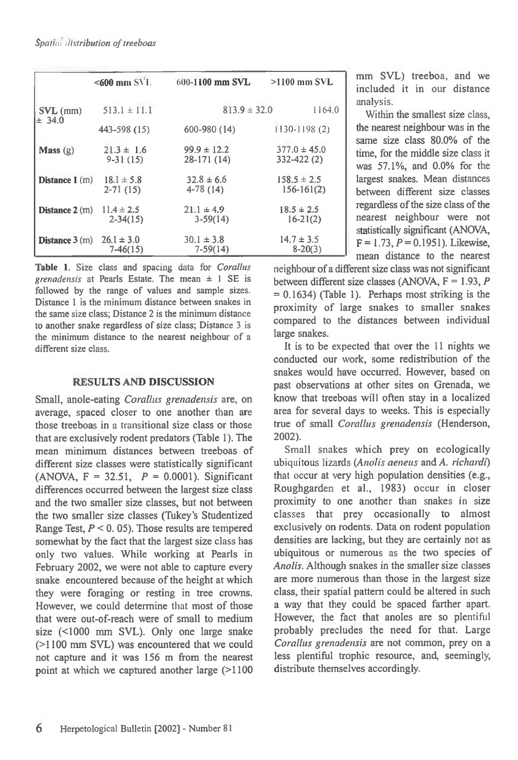|                         | $<$ 600 mm $SVL$ | 600-1100 mm SVL  | $>1100$ mm SVL.  |
|-------------------------|------------------|------------------|------------------|
| $SVL$ (mm)<br>± 34.0    | $513.1 \pm 11.1$ | $813.9 \pm 32.0$ | 1164.0           |
|                         | 443-598 (15)     | 600-980 (14)     | $1130 - 1198(2)$ |
| Mass(g)                 | $21.3 \pm 1.6$   | $99.9 \pm 12.2$  | $377.0 \pm 45.0$ |
|                         | $9-31(15)$       | 28-171 (14)      | $332 - 422(2)$   |
| <b>Distance 1</b> $(m)$ | $18.1 \pm 5.8$   | $32.8 \pm 6.6$   | $158.5 \pm 2.5$  |
|                         | $2 - 71(15)$     | $4-78(14)$       | $156 - 161(2)$   |
| <b>Distance 2</b> $(m)$ | $11.4 \pm 2.5$   | $21.1 \pm 4.9$   | $18.5 \pm 2.5$   |
|                         | $2 - 34(15)$     | $3-59(14)$       | $16-21(2)$       |
| <b>Distance</b> $3(m)$  | $26.1 \pm 3.0$   | $30.1 \pm 3.8$   | $14.7 \pm 3.5$   |
|                         | $7-46(15)$       | $7-59(14)$       | $8-20(3)$        |

Table 1. Size class and spacing data for Corallus grenadensis at Pearls Estate. The mean  $\pm$  1 SE is followed by the range of values and sample sizes. Distance 1 is the minimum distance between snakes in the same size class; Distance 2 is the minimum distance to another snake regardless of size class; Distance 3 is the minimum distance to the nearest neighbour of a different size class.

## RESULTS AND DISCUSSION

Small, anole-eating Corallus grenadensis are, on average, spaced closer to one another than are those treeboas in a transitional size class or those that are exclusively rodent predators (Table 1). The mean minimum distances between treeboas of different size classes were statistically significant (ANOVA,  $F = 32.51$ ,  $P = 0.0001$ ). Significant differences occurred between the largest size class and the two smaller size classes, but not between the two smaller size classes (Tukey's Studentized Range Test,  $P < 0.05$ ). Those results are tempered somewhat by the fact that the largest size class has only two values. While working at Pearls in February 2002, we were not able to capture every snake encountered because of the height at which they were foraging or resting in tree crowns. However, we could determine that most of those that were out-of-reach were of small to medium size (<1000 mm SVL). Only one large snake (>1100 mm SVL) was encountered that we could not capture and it was 156 m from the nearest point at which we captured another large (>1100 mm SVL) treeboa, and we included it in our distance analysis.

Within the smallest size class, the nearest neighbour was in the same size class 80.0% of the time, for the middle size class it was 57.1%, and 0.0% for the largest snakes. Mean distances between different size classes regardless of the size class of the nearest neighbour were not statistically significant (ANOVA, F = 1.73, *P =* 0.1951). Likewise, mean distance to the nearest

neighbour of a different size class was not significant between different size classes (ANOVA, F = 1.93, *P*   $= 0.1634$ ) (Table 1). Perhaps most striking is the proximity of large snakes to smaller snakes compared to the distances between individual large snakes.

It is to be expected that over the 11 nights we conducted our work, some redistribution of the snakes would have occurred. However, based on past observations at other sites on Grenada, we know that treeboas will often stay in a localized area for several days to weeks. This is especially true of small *Corallus* grenadensis (Henderson, 2002).

Small snakes which prey on ecologically ubiquitous lizards (Anolis aeneus and A. richardi) that occur at very high population densities (e.g., Roughgarden et al., 1983) occur in closer proximity to one another than snakes in size classes that prey occasionally to almost exclusively on rodents. Data on rodent population densities are lacking, but they are certainly not as ubiquitous or numerous as the two species of *Anolis.* Although snakes in the smaller size classes are more numerous than those in the largest size class, their spatial pattern could be altered in such a way that they could be spaced farther apart. However, the fact that anoles are so plentiful probably precludes the need for that. Large *Corollas* grenadensis are not common, prey on a less plentiful trophic resource, and, seemingly, distribute themselves accordingly.